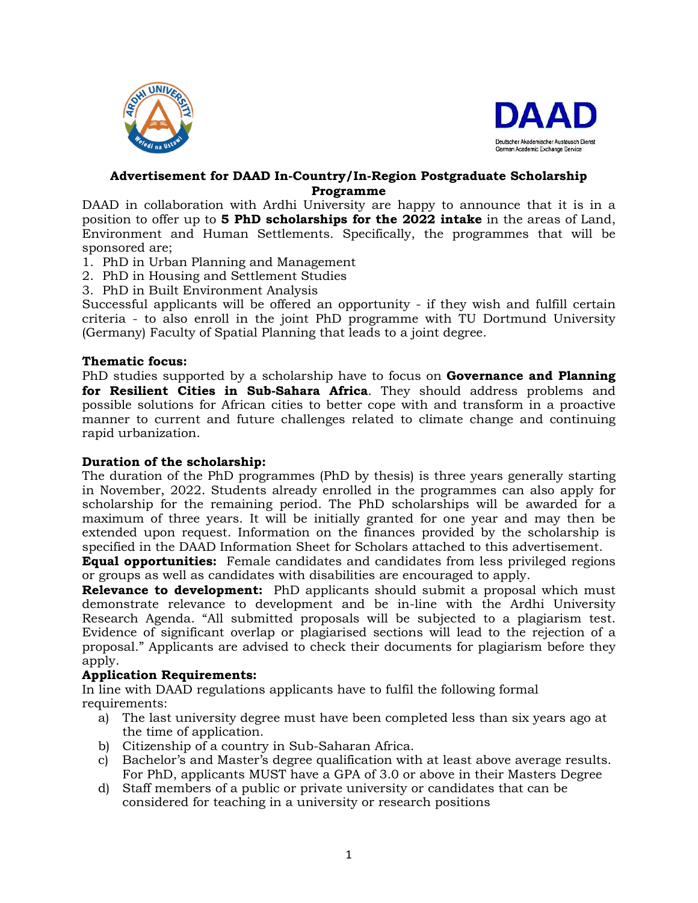



### **Advertisement for DAAD In-Country/In-Region Postgraduate Scholarship Programme**

DAAD in collaboration with Ardhi University are happy to announce that it is in a position to offer up to **5 PhD scholarships for the 2022 intake** in the areas of Land, Environment and Human Settlements. Specifically, the programmes that will be sponsored are;

- 1. PhD in Urban Planning and Management
- 2. PhD in Housing and Settlement Studies
- 3. PhD in Built Environment Analysis

Successful applicants will be offered an opportunity - if they wish and fulfill certain criteria - to also enroll in the joint PhD programme with TU Dortmund University (Germany) Faculty of Spatial Planning that leads to a joint degree.

### **Thematic focus:**

PhD studies supported by a scholarship have to focus on **Governance and Planning for Resilient Cities in Sub-Sahara Africa**. They should address problems and possible solutions for African cities to better cope with and transform in a proactive manner to current and future challenges related to climate change and continuing rapid urbanization.

### **Duration of the scholarship:**

The duration of the PhD programmes (PhD by thesis) is three years generally starting in November, 2022. Students already enrolled in the programmes can also apply for scholarship for the remaining period. The PhD scholarships will be awarded for a maximum of three years. It will be initially granted for one year and may then be extended upon request. Information on the finances provided by the scholarship is specified in the DAAD Information Sheet for Scholars attached to this advertisement.

**Equal opportunities:** Female candidates and candidates from less privileged regions or groups as well as candidates with disabilities are encouraged to apply.

**Relevance to development:** PhD applicants should submit a proposal which must demonstrate relevance to development and be in-line with the Ardhi University Research Agenda. "All submitted proposals will be subjected to a plagiarism test. Evidence of significant overlap or plagiarised sections will lead to the rejection of a proposal." Applicants are advised to check their documents for plagiarism before they apply.

### **Application Requirements:**

In line with DAAD regulations applicants have to fulfil the following formal requirements:

- a) The last university degree must have been completed less than six years ago at the time of application.
- b) Citizenship of a country in Sub-Saharan Africa.
- c) Bachelor's and Master's degree qualification with at least above average results. For PhD, applicants MUST have a GPA of 3.0 or above in their Masters Degree
- d) Staff members of a public or private university or candidates that can be considered for teaching in a university or research positions